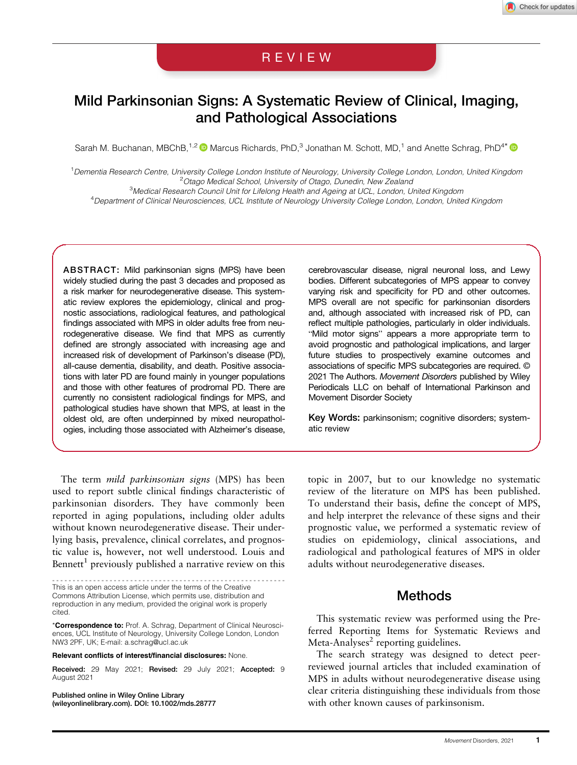# REVIEW

# Mild Parkinsonian Signs: A Systematic Review of Clinical, Imaging, and Pathological Associations

Sarah M. Buchanan, MBChB,<sup>1,2</sup> (D Marcus Richards, PhD,<sup>3</sup> Jonathan M. Schott, MD,<sup>1</sup> and Anette Schrag, PhD<sup>4\*</sup> (D

<sup>1</sup> Dementia Research Centre, University College London Institute of Neurology, University College London, London, United Kingdom <sup>2</sup> Otago Medical School, University of Otago, Dunedin, New Zealand <sup>2</sup> Otago Medical School, University of Otago, Dunedin, New Zealand <sup>2</sup><br><sup>3</sup> Medical Research Council Unit for Lifelong Health and Ageing at UCL, London, United Kingdom

4 Department of Clinical Neurosciences, UCL Institute of Neurology University College London, London, United Kingdom

ABSTRACT: Mild parkinsonian signs (MPS) have been widely studied during the past 3 decades and proposed as a risk marker for neurodegenerative disease. This systematic review explores the epidemiology, clinical and prognostic associations, radiological features, and pathological findings associated with MPS in older adults free from neurodegenerative disease. We find that MPS as currently defined are strongly associated with increasing age and increased risk of development of Parkinson's disease (PD), all-cause dementia, disability, and death. Positive associations with later PD are found mainly in younger populations and those with other features of prodromal PD. There are currently no consistent radiological findings for MPS, and pathological studies have shown that MPS, at least in the oldest old, are often underpinned by mixed neuropathologies, including those associated with Alzheimer's disease,

cerebrovascular disease, nigral neuronal loss, and Lewy bodies. Different subcategories of MPS appear to convey varying risk and specificity for PD and other outcomes. MPS overall are not specific for parkinsonian disorders and, although associated with increased risk of PD, can reflect multiple pathologies, particularly in older individuals. "Mild motor signs" appears a more appropriate term to avoid prognostic and pathological implications, and larger future studies to prospectively examine outcomes and associations of specific MPS subcategories are required. © 2021 The Authors. Movement Disorders published by Wiley Periodicals LLC on behalf of International Parkinson and Movement Disorder Society

Key Words: parkinsonism; cognitive disorders; systematic review

The term mild parkinsonian signs (MPS) has been used to report subtle clinical findings characteristic of parkinsonian disorders. They have commonly been reported in aging populations, including older adults without known neurodegenerative disease. Their underlying basis, prevalence, clinical correlates, and prognostic value is, however, not well understood. Louis and Bennett<sup>1</sup> previously published a narrative review on this

--------------------------------------------------------- This is an open access article under the terms of the [Creative](http://creativecommons.org/licenses/by/4.0/) [Commons Attribution](http://creativecommons.org/licenses/by/4.0/) License, which permits use, distribution and reproduction in any medium, provided the original work is properly cited.

\*Correspondence to: Prof. A. Schrag, Department of Clinical Neurosciences, UCL Institute of Neurology, University College London, London NW3 2PF, UK; E-mail: [a.schrag@ucl.ac.uk](mailto:a.schrag@ucl.ac.uk)

Relevant conflicts of interest/financial disclosures: None.

Received: 29 May 2021; Revised: 29 July 2021; Accepted: 9 August 2021

Published online in Wiley Online Library [\(wileyonlinelibrary.com](http://wileyonlinelibrary.com)). DOI: 10.1002/mds.28777 topic in 2007, but to our knowledge no systematic review of the literature on MPS has been published. To understand their basis, define the concept of MPS, and help interpret the relevance of these signs and their prognostic value, we performed a systematic review of studies on epidemiology, clinical associations, and radiological and pathological features of MPS in older adults without neurodegenerative diseases.

# Methods

This systematic review was performed using the Preferred Reporting Items for Systematic Reviews and Meta-Analyses $2$  reporting guidelines.

The search strategy was designed to detect peerreviewed journal articles that included examination of MPS in adults without neurodegenerative disease using clear criteria distinguishing these individuals from those with other known causes of parkinsonism.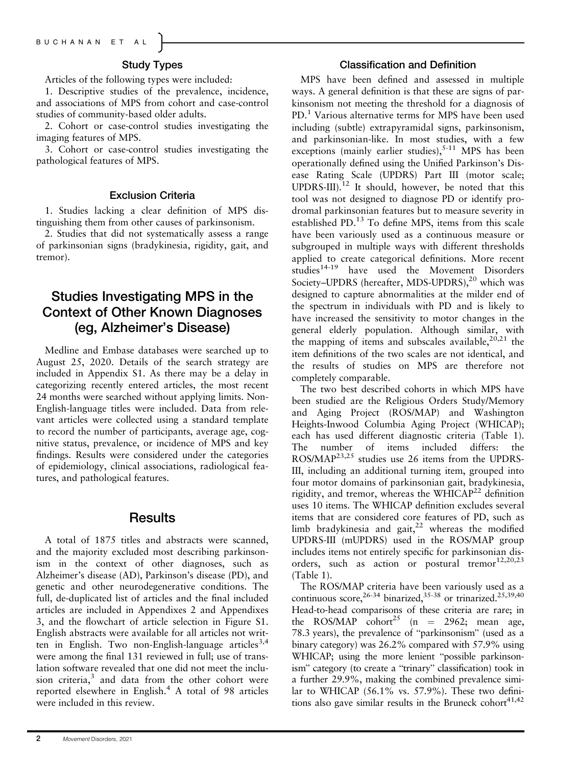## Study Types

Articles of the following types were included:

1. Descriptive studies of the prevalence, incidence, and associations of MPS from cohort and case-control studies of community-based older adults.

2. Cohort or case-control studies investigating the imaging features of MPS.

3. Cohort or case-control studies investigating the pathological features of MPS.

#### Exclusion Criteria

1. Studies lacking a clear definition of MPS distinguishing them from other causes of parkinsonism.

2. Studies that did not systematically assess a range of parkinsonian signs (bradykinesia, rigidity, gait, and tremor).

# Studies Investigating MPS in the Context of Other Known Diagnoses (eg, Alzheimer's Disease)

Medline and Embase databases were searched up to August 25, 2020. Details of the search strategy are included in Appendix S1. As there may be a delay in categorizing recently entered articles, the most recent 24 months were searched without applying limits. Non-English-language titles were included. Data from relevant articles were collected using a standard template to record the number of participants, average age, cognitive status, prevalence, or incidence of MPS and key findings. Results were considered under the categories of epidemiology, clinical associations, radiological features, and pathological features.

# **Results**

A total of 1875 titles and abstracts were scanned, and the majority excluded most describing parkinsonism in the context of other diagnoses, such as Alzheimer's disease (AD), Parkinson's disease (PD), and genetic and other neurodegenerative conditions. The full, de-duplicated list of articles and the final included articles are included in Appendixes 2 and Appendixes 3, and the flowchart of article selection in Figure S1. English abstracts were available for all articles not written in English. Two non-English-language articles<sup>3,4</sup> were among the final 131 reviewed in full; use of translation software revealed that one did not meet the inclusion criteria,<sup>3</sup> and data from the other cohort were reported elsewhere in English.<sup>4</sup> A total of 98 articles were included in this review.

#### Classification and Definition

MPS have been defined and assessed in multiple ways. A general definition is that these are signs of parkinsonism not meeting the threshold for a diagnosis of PD.<sup>1</sup> Various alternative terms for MPS have been used including (subtle) extrapyramidal signs, parkinsonism, and parkinsonian-like. In most studies, with a few exceptions (mainly earlier studies),  $5-11$  MPS has been operationally defined using the Unified Parkinson's Disease Rating Scale (UPDRS) Part III (motor scale; UPDRS-III).<sup>12</sup> It should, however, be noted that this tool was not designed to diagnose PD or identify prodromal parkinsonian features but to measure severity in established PD. $^{13}$  To define MPS, items from this scale have been variously used as a continuous measure or subgrouped in multiple ways with different thresholds applied to create categorical definitions. More recent studies<sup>14-19</sup> have used the Movement Disorders Society-UPDRS (hereafter, MDS-UPDRS),<sup>20</sup> which was designed to capture abnormalities at the milder end of the spectrum in individuals with PD and is likely to have increased the sensitivity to motor changes in the general elderly population. Although similar, with the mapping of items and subscales available,  $2^{0,21}$  the item definitions of the two scales are not identical, and the results of studies on MPS are therefore not completely comparable.

The two best described cohorts in which MPS have been studied are the Religious Orders Study/Memory and Aging Project (ROS/MAP) and Washington Heights-Inwood Columbia Aging Project (WHICAP); each has used different diagnostic criteria (Table 1). The number of items included differs: the ROS/MAP<sup>23,25</sup> studies use 26 items from the UPDRS-III, including an additional turning item, grouped into four motor domains of parkinsonian gait, bradykinesia, rigidity, and tremor, whereas the WHICA $P<sup>22</sup>$  definition uses 10 items. The WHICAP definition excludes several items that are considered core features of PD, such as limb bradykinesia and gait, $^{22}$  whereas the modified UPDRS-III (mUPDRS) used in the ROS/MAP group includes items not entirely specific for parkinsonian disorders, such as action or postural tremor<sup>12,20,23</sup> (Table 1).

The ROS/MAP criteria have been variously used as a continuous score,  $26-34$  binarized,  $35-38$  or trinarized.  $25,39,40$ Head-to-head comparisons of these criteria are rare; in the ROS/MAP cohort<sup>25</sup> (n = 2962; mean age, 78.3 years), the prevalence of "parkinsonism" (used as a binary category) was 26.2% compared with 57.9% using WHICAP; using the more lenient "possible parkinsonism" category (to create a "trinary" classification) took in a further 29.9%, making the combined prevalence similar to WHICAP (56.1% vs. 57.9%). These two definitions also gave similar results in the Bruneck cohort $41,42$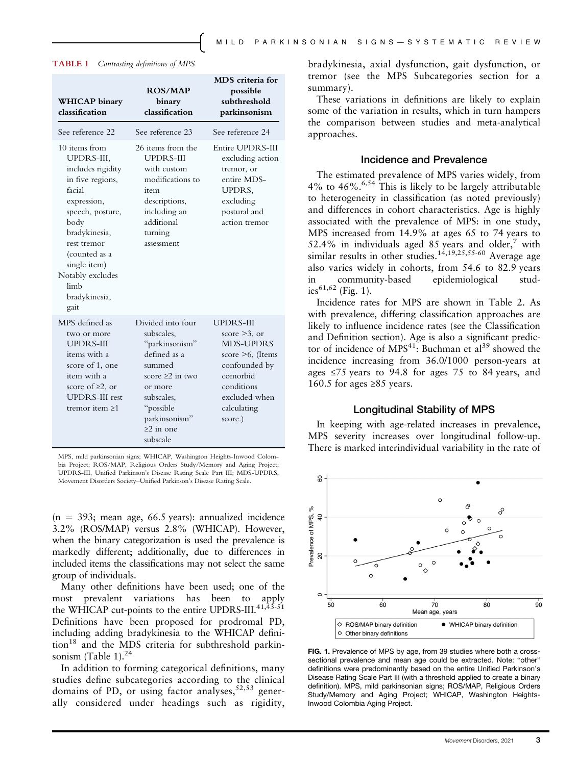| <b>WHICAP</b> binary<br>classification                                                                                                                                                                                                          | ROS/MAP<br>binary<br>classification                                                                                                                      | MDS criteria for<br>possible<br>subthreshold<br>parkinsonism                                                                      |
|-------------------------------------------------------------------------------------------------------------------------------------------------------------------------------------------------------------------------------------------------|----------------------------------------------------------------------------------------------------------------------------------------------------------|-----------------------------------------------------------------------------------------------------------------------------------|
| See reference 22                                                                                                                                                                                                                                | See reference 23                                                                                                                                         | See reference 24                                                                                                                  |
| 10 items from<br>UPDRS-III,<br>includes rigidity<br>in five regions,<br>facial<br>expression,<br>speech, posture,<br>body<br>bradykinesia,<br>rest tremor<br>(counted as a<br>single item)<br>Notably excludes<br>limb<br>bradykinesia,<br>gait | 26 items from the<br><b>UPDRS-III</b><br>with custom<br>modifications to<br>item<br>descriptions,<br>including an<br>additional<br>turning<br>assessment | Entire UPDRS-III<br>excluding action<br>tremor, or<br>entire MDS-<br>UPDRS,<br>excluding<br>postural and<br>action tremor         |
| MPS defined as<br>two or more                                                                                                                                                                                                                   | Divided into four<br>subscales,                                                                                                                          | UPDR S-III<br>score $>3$ , or                                                                                                     |
| <b>UPDRS-III</b><br>items with a<br>score of 1, one<br>item with a<br>score of $\geq 2$ , or<br><b>UPDRS-III</b> rest<br>tremor item $\geq 1$                                                                                                   | "parkinsonism"<br>defined as a<br>summed<br>score $\geq 2$ in two<br>or more<br>subscales,<br>"possible<br>parkinsonism"<br>$>2$ in one<br>subscale      | <b>MDS-UPDRS</b><br>score $\geq 6$ , (Items<br>confounded by<br>comorbid<br>conditions<br>excluded when<br>calculating<br>score.) |

TABLE 1 Contrasting definitions of MPS

MPS, mild parkinsonian signs; WHICAP, Washington Heights-Inwood Colombia Project; ROS/MAP, Religious Orders Study/Memory and Aging Project; UPDRS-III, Unified Parkinson's Disease Rating Scale Part III; MDS-UPDRS, Movement Disorders Society–Unified Parkinson's Disease Rating Scale.

 $(n = 393;$  mean age, 66.5 years): annualized incidence 3.2% (ROS/MAP) versus 2.8% (WHICAP). However, when the binary categorization is used the prevalence is markedly different; additionally, due to differences in included items the classifications may not select the same group of individuals.

Many other definitions have been used; one of the most prevalent variations has been to apply the WHICAP cut-points to the entire UPDRS-III. $41,33.51$ Definitions have been proposed for prodromal PD, including adding bradykinesia to the WHICAP defini- $\text{tion}^{18}$  and the MDS criteria for subthreshold parkinsonism (Table 1). $^{24}$ 

In addition to forming categorical definitions, many studies define subcategories according to the clinical domains of PD, or using factor analyses,  $52,53$  generally considered under headings such as rigidity, bradykinesia, axial dysfunction, gait dysfunction, or tremor (see the MPS Subcategories section for a summary).

These variations in definitions are likely to explain some of the variation in results, which in turn hampers the comparison between studies and meta-analytical approaches.

#### Incidence and Prevalence

The estimated prevalence of MPS varies widely, from 4% to  $46\%$ .<sup>6,54</sup> This is likely to be largely attributable to heterogeneity in classification (as noted previously) and differences in cohort characteristics. Age is highly associated with the prevalence of MPS: in one study, MPS increased from 14.9% at ages 65 to 74 years to 52.4% in individuals aged 85 years and older, $7$  with similar results in other studies.<sup>14,19,25,55-60</sup> Average age also varies widely in cohorts, from 54.6 to 82.9 years in community-based epidemiological studies<sup>61,62</sup> (Fig. 1).

Incidence rates for MPS are shown in Table 2. As with prevalence, differing classification approaches are likely to influence incidence rates (see the Classification and Definition section). Age is also a significant predictor of incidence of  $MPS^{41}$ : Buchman et al<sup>39</sup> showed the incidence increasing from 36.0/1000 person-years at ages  $\leq 75$  years to 94.8 for ages 75 to 84 years, and 160.5 for ages  $\geq 85$  years.

#### Longitudinal Stability of MPS

In keeping with age-related increases in prevalence, MPS severity increases over longitudinal follow-up. There is marked interindividual variability in the rate of



FIG. 1. Prevalence of MPS by age, from 39 studies where both a crosssectional prevalence and mean age could be extracted. Note: "other" definitions were predominantly based on the entire Unified Parkinson's Disease Rating Scale Part III (with a threshold applied to create a binary definition). MPS, mild parkinsonian signs; ROS/MAP, Religious Orders Study/Memory and Aging Project; WHICAP, Washington Heights-Inwood Colombia Aging Project.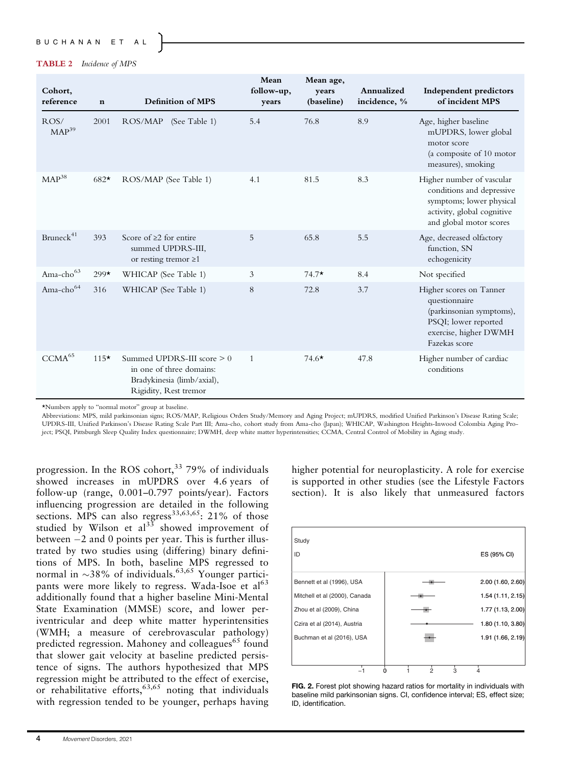#### TABLE 2 Incidence of MPS

| Cohort,<br>reference      | $\mathbf n$ | <b>Definition of MPS</b>                                                                                        | Mean<br>follow-up,<br>years | Mean age,<br>years<br>(baseline) | Annualized<br>incidence, % | Independent predictors<br>of incident MPS                                                                                                   |
|---------------------------|-------------|-----------------------------------------------------------------------------------------------------------------|-----------------------------|----------------------------------|----------------------------|---------------------------------------------------------------------------------------------------------------------------------------------|
| ROS/<br>MAP <sup>39</sup> | 2001        | ROS/MAP<br>(See Table 1)                                                                                        | 5.4                         | 76.8                             | 8.9                        | Age, higher baseline<br>mUPDRS, lower global<br>motor score<br>(a composite of 10 motor<br>measures), smoking                               |
| $MAP^{38}$                | $682*$      | ROS/MAP (See Table 1)                                                                                           | 4.1                         | 81.5                             | 8.3                        | Higher number of vascular<br>conditions and depressive<br>symptoms; lower physical<br>activity, global cognitive<br>and global motor scores |
| Bruneck <sup>41</sup>     | 393         | Score of $\geq 2$ for entire<br>summed UPDRS-III,<br>or resting tremor $\geq 1$                                 | 5                           | 65.8                             | 5.5                        | Age, decreased olfactory<br>function, SN<br>echogenicity                                                                                    |
| Ama-cho <sup>63</sup>     | $299*$      | WHICAP (See Table 1)                                                                                            | 3                           | $74.7*$                          | 8.4                        | Not specified                                                                                                                               |
| Ama-cho <sup>64</sup>     | 316         | WHICAP (See Table 1)                                                                                            | 8                           | 72.8                             | 3.7                        | Higher scores on Tanner<br>questionnaire<br>(parkinsonian symptoms),<br>PSQI; lower reported<br>exercise, higher DWMH<br>Fazekas score      |
| CCMA <sup>65</sup>        | $115*$      | Summed UPDRS-III score $> 0$<br>in one of three domains:<br>Bradykinesia (limb/axial),<br>Rigidity, Rest tremor | $\mathbf{1}$                | 74.6 $\star$                     | 47.8                       | Higher number of cardiac<br>conditions                                                                                                      |

\*Numbers apply to "normal motor" group at baseline.

Abbreviations: MPS, mild parkinsonian signs; ROS/MAP, Religious Orders Study/Memory and Aging Project; mUPDRS, modified Unified Parkinson's Disease Rating Scale; UPDRS-III, Unified Parkinson's Disease Rating Scale Part III; Ama-cho, cohort study from Ama-cho (Japan); WHICAP, Washington Heights-Inwood Colombia Aging Project; PSQI, Pittsburgh Sleep Quality Index questionnaire; DWMH, deep white matter hyperintensities; CCMA, Central Control of Mobility in Aging study.

progression. In the ROS cohort,<sup>33</sup> 79% of individuals showed increases in mUPDRS over 4.6 years of follow-up (range, 0.001–0.797 points/year). Factors influencing progression are detailed in the following sections. MPS can also regress<sup>33,63,65</sup>: 21% of those studied by Wilson et  $al^{33}$  showed improvement of between  $-2$  and 0 points per year. This is further illustrated by two studies using (differing) binary definitions of MPS. In both, baseline MPS regressed to normal in  $\sim$ 38% of individuals.<sup>63,65</sup> Younger participants were more likely to regress. Wada-Isoe et al<sup>63</sup> additionally found that a higher baseline Mini-Mental State Examination (MMSE) score, and lower periventricular and deep white matter hyperintensities (WMH; a measure of cerebrovascular pathology) predicted regression. Mahoney and colleagues $^{65}$  found that slower gait velocity at baseline predicted persistence of signs. The authors hypothesized that MPS regression might be attributed to the effect of exercise, or rehabilitative efforts,<sup>63,65</sup> noting that individuals with regression tended to be younger, perhaps having

higher potential for neuroplasticity. A role for exercise is supported in other studies (see the Lifestyle Factors section). It is also likely that unmeasured factors



FIG. 2. Forest plot showing hazard ratios for mortality in individuals with baseline mild parkinsonian signs. CI, confidence interval; ES, effect size; ID, identification.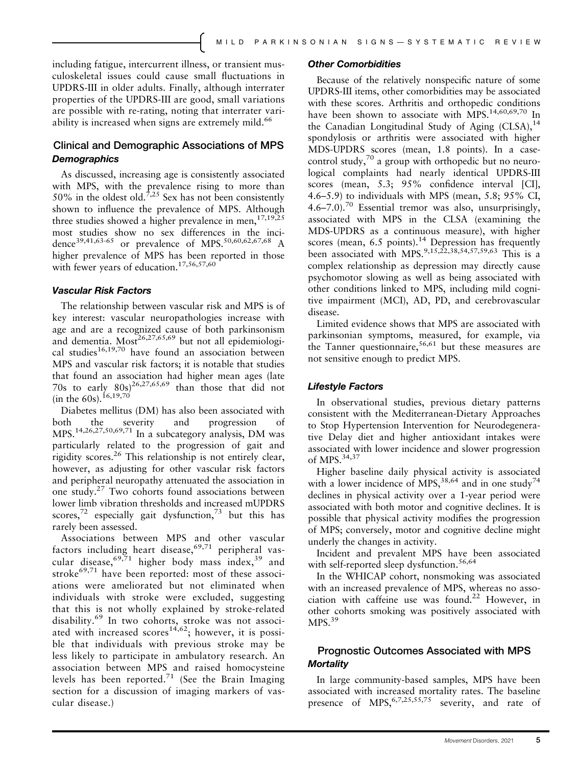including fatigue, intercurrent illness, or transient musculoskeletal issues could cause small fluctuations in UPDRS-III in older adults. Finally, although interrater properties of the UPDRS-III are good, small variations are possible with re-rating, noting that interrater variability is increased when signs are extremely mild.<sup>66</sup>

## Clinical and Demographic Associations of MPS **Demographics**

As discussed, increasing age is consistently associated with MPS, with the prevalence rising to more than 50% in the oldest old.<sup>7,25</sup> Sex has not been consistently shown to influence the prevalence of MPS. Although three studies showed a higher prevalence in men,  $17,19,25$ most studies show no sex differences in the incidence<sup>39,41,63-65</sup> or prevalence of MPS.<sup>50,60,62,67,68</sup> A higher prevalence of MPS has been reported in those with fewer years of education.<sup>17,56,57,60</sup>

#### Vascular Risk Factors

The relationship between vascular risk and MPS is of key interest: vascular neuropathologies increase with age and are a recognized cause of both parkinsonism and dementia. Most<sup>26,27,65,69</sup> but not all epidemiological studies<sup>16,19,70</sup> have found an association between MPS and vascular risk factors; it is notable that studies that found an association had higher mean ages (late 70s to early  $80s^{26,27,65,69}$  than those that did not (in the 60s).<sup>16,19,70</sup>

Diabetes mellitus (DM) has also been associated with both the severity and progression of MPS.14,26,27,50,69,71 In a subcategory analysis, DM was particularly related to the progression of gait and rigidity scores.<sup>26</sup> This relationship is not entirely clear, however, as adjusting for other vascular risk factors and peripheral neuropathy attenuated the association in one study.<sup>27</sup> Two cohorts found associations between lower limb vibration thresholds and increased mUPDRS scores,<sup>72</sup> especially gait dysfunction,<sup>73</sup> but this has rarely been assessed.

Associations between MPS and other vascular factors including heart disease,  $69,71$  peripheral vascular disease,  $69,71$  higher body mass index,  $39$  and stroke $^{69,71}$  have been reported: most of these associations were ameliorated but not eliminated when individuals with stroke were excluded, suggesting that this is not wholly explained by stroke-related disability.<sup>69</sup> In two cohorts, stroke was not associated with increased scores<sup>14,62</sup>; however, it is possible that individuals with previous stroke may be less likely to participate in ambulatory research. An association between MPS and raised homocysteine levels has been reported.<sup>71</sup> (See the Brain Imaging section for a discussion of imaging markers of vascular disease.)

#### Other Comorbidities

Because of the relatively nonspecific nature of some UPDRS-III items, other comorbidities may be associated with these scores. Arthritis and orthopedic conditions have been shown to associate with MPS.<sup>14,60,69,70</sup> In the Canadian Longitudinal Study of Aging  $(CLSA)$ , <sup>14</sup> spondylosis or arthritis were associated with higher MDS-UPDRS scores (mean, 1.8 points). In a casecontrol study, $70$  a group with orthopedic but no neurological complaints had nearly identical UPDRS-III scores (mean, 5.3; 95% confidence interval [CI], 4.6–5.9) to individuals with MPS (mean, 5.8; 95% CI, 4.6–7.0).<sup>70</sup> Essential tremor was also, unsurprisingly, associated with MPS in the CLSA (examining the MDS-UPDRS as a continuous measure), with higher scores (mean,  $6.5$  points).<sup>14</sup> Depression has frequently been associated with MPS.<sup>9,15,22,38,54,57,59,63</sup> This is a complex relationship as depression may directly cause psychomotor slowing as well as being associated with other conditions linked to MPS, including mild cognitive impairment (MCI), AD, PD, and cerebrovascular disease.

Limited evidence shows that MPS are associated with parkinsonian symptoms, measured, for example, via the Tanner questionnaire,<sup>56,61</sup> but these measures are not sensitive enough to predict MPS.

#### Lifestyle Factors

In observational studies, previous dietary patterns consistent with the Mediterranean-Dietary Approaches to Stop Hypertension Intervention for Neurodegenerative Delay diet and higher antioxidant intakes were associated with lower incidence and slower progression of MPS.34,37

Higher baseline daily physical activity is associated with a lower incidence of MPS,  $38,64$  and in one study<sup>74</sup> declines in physical activity over a 1-year period were associated with both motor and cognitive declines. It is possible that physical activity modifies the progression of MPS; conversely, motor and cognitive decline might underly the changes in activity.

Incident and prevalent MPS have been associated with self-reported sleep dysfunction.<sup>56,64</sup>

In the WHICAP cohort, nonsmoking was associated with an increased prevalence of MPS, whereas no association with caffeine use was found.<sup>22</sup> However, in other cohorts smoking was positively associated with  $MPS.<sup>39</sup>$ 

## Prognostic Outcomes Associated with MPS **Mortality**

In large community-based samples, MPS have been associated with increased mortality rates. The baseline presence of MPS,  $6,7,25,55,75$  severity, and rate of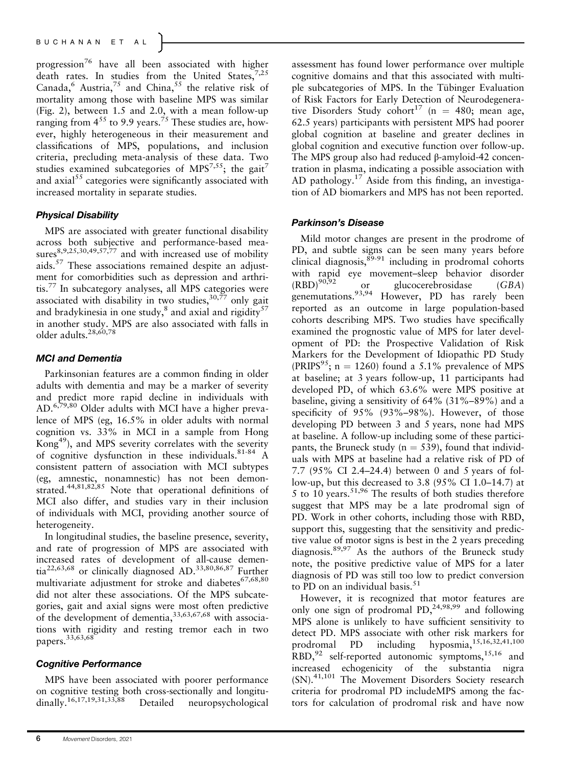progression<sup>76</sup> have all been associated with higher death rates. In studies from the United States,  $7,25$ Canada,  $6$  Austria,  $75$  and China,  $55$  the relative risk of mortality among those with baseline MPS was similar (Fig. 2), between 1.5 and 2.0, with a mean follow-up ranging from  $4^{55}$  to 9.9 years.<sup>75</sup> These studies are, however, highly heterogeneous in their measurement and classifications of MPS, populations, and inclusion criteria, precluding meta-analysis of these data. Two studies examined subcategories of  $MPS^{7,55}$ ; the gait<sup>7</sup> and axial $55$  categories were significantly associated with increased mortality in separate studies.

#### Physical Disability

MPS are associated with greater functional disability across both subjective and performance-based measures $8,9,25,30,49,57,77$  and with increased use of mobility aids.<sup>57</sup> These associations remained despite an adjustment for comorbidities such as depression and arthritis.<sup>77</sup> In subcategory analyses, all MPS categories were associated with disability in two studies,  $30,77$  only gait and bradykinesia in one study, $8$  and axial and rigidity $57$ in another study. MPS are also associated with falls in older adults.28,60,78

#### MCI and Dementia

Parkinsonian features are a common finding in older adults with dementia and may be a marker of severity and predict more rapid decline in individuals with AD.<sup>6,79,80</sup> Older adults with MCI have a higher prevalence of MPS (eg, 16.5% in older adults with normal cognition vs. 33% in MCI in a sample from Hong Kong49), and MPS severity correlates with the severity of cognitive dysfunction in these individuals.  $81-84$  A consistent pattern of association with MCI subtypes (eg, amnestic, nonamnestic) has not been demonstrated.<sup>44,81,82,85</sup> Note that operational definitions of MCI also differ, and studies vary in their inclusion of individuals with MCI, providing another source of heterogeneity.

In longitudinal studies, the baseline presence, severity, and rate of progression of MPS are associated with increased rates of development of all-cause dementia22,63,68 or clinically diagnosed AD.33,80,86,87 Further multivariate adjustment for stroke and diabetes $67,68,80$ did not alter these associations. Of the MPS subcategories, gait and axial signs were most often predictive of the development of dementia, 33,63,67,68 with associations with rigidity and resting tremor each in two papers.33,63,68

#### Cognitive Performance

MPS have been associated with poorer performance on cognitive testing both cross-sectionally and longitudinally.<sup>16,17,19,31,33,88</sup> Detailed neuropsychological assessment has found lower performance over multiple cognitive domains and that this associated with multiple subcategories of MPS. In the Tübinger Evaluation of Risk Factors for Early Detection of Neurodegenerative Disorders Study cohort<sup>17</sup> (n = 480; mean age, 62.5 years) participants with persistent MPS had poorer global cognition at baseline and greater declines in global cognition and executive function over follow-up. The MPS group also had reduced β-amyloid-42 concentration in plasma, indicating a possible association with AD pathology.<sup>17</sup> Aside from this finding, an investigation of AD biomarkers and MPS has not been reported.

#### Parkinson's Disease

Mild motor changes are present in the prodrome of PD, and subtle signs can be seen many years before clinical diagnosis,  $89-91$  including in prodromal cohorts with rapid eye movement–sleep behavior disorder<br>(RBD)<sup>90,92</sup> or glucocerebrosidase (GBA) or glucocerebrosidase (GBA) genemutations.<sup>93,94</sup> However, PD has rarely been reported as an outcome in large population-based cohorts describing MPS. Two studies have specifically examined the prognostic value of MPS for later development of PD: the Prospective Validation of Risk Markers for the Development of Idiopathic PD Study (PRIPS<sup>95</sup>; n = 1260) found a 5.1% prevalence of MPS at baseline; at 3 years follow-up, 11 participants had developed PD, of which 63.6% were MPS positive at baseline, giving a sensitivity of 64% (31%–89%) and a specificity of 95% (93%–98%). However, of those developing PD between 3 and 5 years, none had MPS at baseline. A follow-up including some of these participants, the Bruneck study ( $n = 539$ ), found that individuals with MPS at baseline had a relative risk of PD of 7.7 (95% CI 2.4–24.4) between 0 and 5 years of follow-up, but this decreased to 3.8 (95% CI 1.0–14.7) at 5 to 10 years.<sup>51,96</sup> The results of both studies therefore suggest that MPS may be a late prodromal sign of PD. Work in other cohorts, including those with RBD, support this, suggesting that the sensitivity and predictive value of motor signs is best in the 2 years preceding diagnosis.  $89,97$  As the authors of the Bruneck study note, the positive predictive value of MPS for a later diagnosis of PD was still too low to predict conversion to PD on an individual basis.<sup>51</sup>

However, it is recognized that motor features are only one sign of prodromal  $PD, ^{24,98,99}$  and following MPS alone is unlikely to have sufficient sensitivity to detect PD. MPS associate with other risk markers for prodromal PD including hyposmia,15,16,32,41,100  $RBD$ ,<sup>92</sup> self-reported autonomic symptoms,<sup>15,16</sup> and increased echogenicity of the substantia nigra (SN).41,101 The Movement Disorders Society research criteria for prodromal PD includeMPS among the factors for calculation of prodromal risk and have now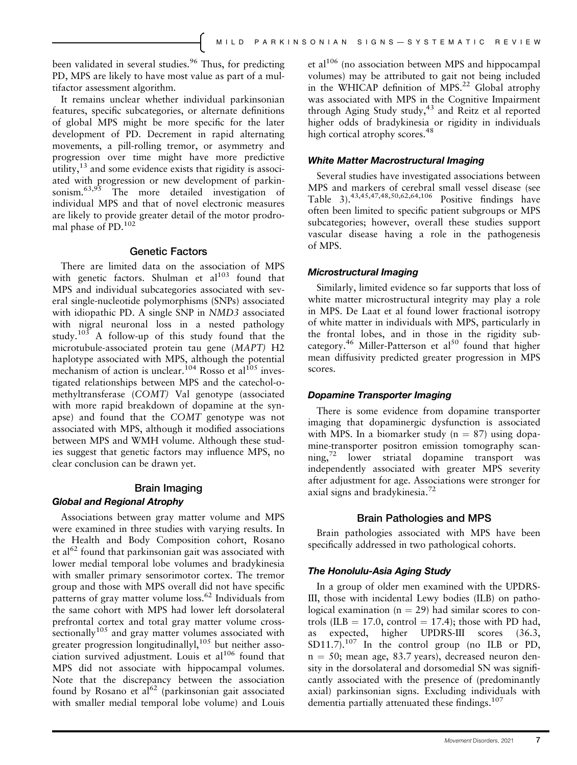been validated in several studies.<sup>96</sup> Thus, for predicting PD, MPS are likely to have most value as part of a multifactor assessment algorithm.

It remains unclear whether individual parkinsonian features, specific subcategories, or alternate definitions of global MPS might be more specific for the later development of PD. Decrement in rapid alternating movements, a pill-rolling tremor, or asymmetry and progression over time might have more predictive utility,<sup>13</sup> and some evidence exists that rigidity is associated with progression or new development of parkinsonism.63,95 The more detailed investigation of individual MPS and that of novel electronic measures are likely to provide greater detail of the motor prodromal phase of PD.<sup>102</sup>

#### Genetic Factors

There are limited data on the association of MPS with genetic factors. Shulman et  $al^{103}$  found that MPS and individual subcategories associated with several single-nucleotide polymorphisms (SNPs) associated with idiopathic PD. A single SNP in NMD3 associated with nigral neuronal loss in a nested pathology study.<sup>103</sup> A follow-up of this study found that the microtubule-associated protein tau gene (MAPT) H2 haplotype associated with MPS, although the potential mechanism of action is unclear.<sup>104</sup> Rosso et al<sup>105</sup> investigated relationships between MPS and the catechol-omethyltransferase (COMT) Val genotype (associated with more rapid breakdown of dopamine at the synapse) and found that the COMT genotype was not associated with MPS, although it modified associations between MPS and WMH volume. Although these studies suggest that genetic factors may influence MPS, no clear conclusion can be drawn yet.

# Brain Imaging

# Global and Regional Atrophy

Associations between gray matter volume and MPS were examined in three studies with varying results. In the Health and Body Composition cohort, Rosano et al<sup>62</sup> found that parkinsonian gait was associated with lower medial temporal lobe volumes and bradykinesia with smaller primary sensorimotor cortex. The tremor group and those with MPS overall did not have specific patterns of gray matter volume loss.<sup>62</sup> Individuals from the same cohort with MPS had lower left dorsolateral prefrontal cortex and total gray matter volume cross- $\frac{1}{2}$  sectionally<sup>105</sup> and gray matter volumes associated with greater progression longitudinallyl,<sup>105</sup> but neither association survived adjustment. Louis et  $al^{106}$  found that MPS did not associate with hippocampal volumes. Note that the discrepancy between the association found by Rosano et  $a^{62}$  (parkinsonian gait associated with smaller medial temporal lobe volume) and Louis et al $106$  (no association between MPS and hippocampal volumes) may be attributed to gait not being included in the WHICAP definition of MPS.<sup>22</sup> Global atrophy was associated with MPS in the Cognitive Impairment through Aging Study study,<sup>43</sup> and Reitz et al reported higher odds of bradykinesia or rigidity in individuals high cortical atrophy scores.<sup>48</sup>

### White Matter Macrostructural Imaging

Several studies have investigated associations between MPS and markers of cerebral small vessel disease (see Table 3).43,45,47,48,50,62,64,106 Positive findings have often been limited to specific patient subgroups or MPS subcategories; however, overall these studies support vascular disease having a role in the pathogenesis of MPS.

### Microstructural Imaging

Similarly, limited evidence so far supports that loss of white matter microstructural integrity may play a role in MPS. De Laat et al found lower fractional isotropy of white matter in individuals with MPS, particularly in the frontal lobes, and in those in the rigidity subcategory.<sup>46</sup> Miller-Patterson et al<sup>50</sup> found that higher mean diffusivity predicted greater progression in MPS scores.

#### Dopamine Transporter Imaging

There is some evidence from dopamine transporter imaging that dopaminergic dysfunction is associated with MPS. In a biomarker study  $(n = 87)$  using dopamine-transporter positron emission tomography scan- $\frac{m}{2}$  lower striatal dopamine transport was independently associated with greater MPS severity after adjustment for age. Associations were stronger for axial signs and bradykinesia.<sup>72</sup>

## Brain Pathologies and MPS

Brain pathologies associated with MPS have been specifically addressed in two pathological cohorts.

## The Honolulu-Asia Aging Study

In a group of older men examined with the UPDRS-III, those with incidental Lewy bodies (ILB) on pathological examination ( $n = 29$ ) had similar scores to controls (ILB = 17.0, control = 17.4); those with PD had, as expected, higher UPDRS-III scores (36.3, SD11.7).<sup>107</sup> In the control group (no ILB or PD,  $n = 50$ ; mean age, 83.7 years), decreased neuron density in the dorsolateral and dorsomedial SN was significantly associated with the presence of (predominantly axial) parkinsonian signs. Excluding individuals with dementia partially attenuated these findings.<sup>107</sup>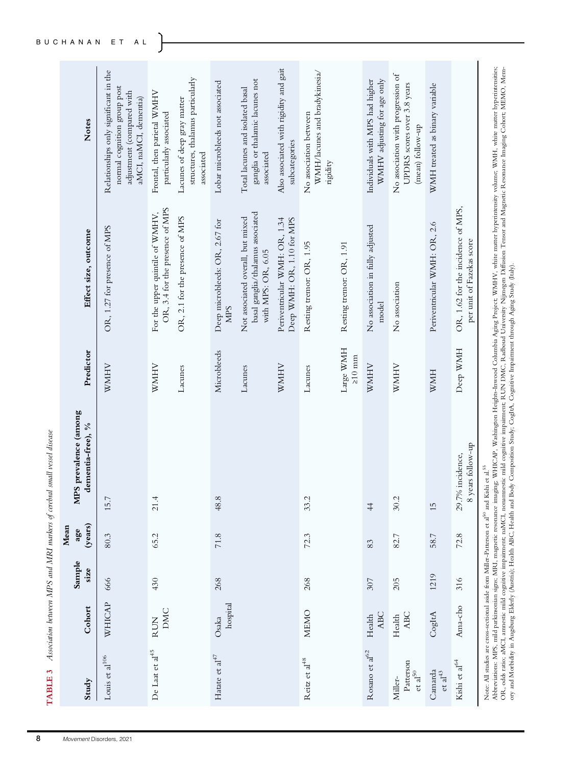| TABLE 3                                     |                      |                |                        | Association between MPS and MRI markers of cerebral small vessel disease |                           |                                                                                                  |                                                                                                                             |
|---------------------------------------------|----------------------|----------------|------------------------|--------------------------------------------------------------------------|---------------------------|--------------------------------------------------------------------------------------------------|-----------------------------------------------------------------------------------------------------------------------------|
| Study                                       | Cohort               | Sample<br>size | (years)<br>Mean<br>age | MPS prevalence (among<br>dementia-free), %                               | Predictor                 | Effect size, outcome                                                                             | Notes                                                                                                                       |
| Louis et al $^{106}$                        | WHICAP               | 666            | 80.3                   | 15.7                                                                     | <b>WMHV</b>               | OR, 1.27 for presence of MPS                                                                     | Relationships only significant in the<br>normal cognition group post<br>adjustment (compared with<br>aMCI, naMCI, dementia) |
| De Laat et al <sup>45</sup>                 | DMC<br><b>RUN</b>    | 430            | 65.2                   | 21.4                                                                     | <b>WMHV</b>               | OR, 3.4 for the presence of MPS<br>For the upper quintile of WMHV,                               | Frontal, then parietal WMHV<br>particularly associated                                                                      |
|                                             |                      |                |                        |                                                                          | Lacunes                   | OR, 2.1 for the presence of MPS                                                                  | structures, thalamus particularly<br>Lacunes of deep gray matter<br>associated                                              |
| Hatate et $al^{47}$                         | hospital<br>Osaka    | 268            | 71.8                   | 48.8                                                                     | Microbleeds               | Deep microbleeds: OR, 2.67 for<br><b>NIPS</b>                                                    | Lobar microbleeds not associated                                                                                            |
|                                             |                      |                |                        |                                                                          | Lacunes                   | basal ganglia/thalamus associated<br>Not associated overall, but mixed<br>with MPS: OR, $6.05\,$ | ganglia or thalamic lacunes not<br>Total lacunes and isolated basal<br>associated                                           |
|                                             |                      |                |                        |                                                                          | <b>NNINIA</b>             | Periventricular WMH: OR, 1.34<br>Deep WMH: OR, 1.10 for MPS                                      | Also associated with rigidity and gait<br>subcategories                                                                     |
| Reitz et al <sup>48</sup>                   | MEMO                 | 268            | 72.3                   | 33.2                                                                     | Lacunes                   | Resting tremor: OR, 1.95                                                                         | WMH/lacunes and bradykinesia/<br>No association between<br>rigidity                                                         |
|                                             |                      |                |                        |                                                                          | Large WMH<br>$\geq$ 10 mm | Resting tremor: OR, 1.91                                                                         |                                                                                                                             |
| Rosano et $\rm{a}l^{62}$                    | <b>ABC</b><br>Health | 307            | 83                     | $\frac{4}{4}$                                                            | <b>WNNHV</b>              | No association in fully adjusted<br>model                                                        | WMHV adjusting for age only<br>Individuals with MPS had higher                                                              |
| Patterson<br>${\rm et\;al}^{50}$<br>Miller- | <b>ABC</b><br>Health | 205            | 82.7                   | 30.2                                                                     | <b>NHNM</b>               | No association                                                                                   | No association with progression of<br>UPDRS scores over 3.8 years<br>(mean) follow-up                                       |
| Camarda<br>et al $43$                       | CogItA               | 1219           | 58.7                   | 15                                                                       | HWW                       | Periventricular WMH: OR, 2.6                                                                     | WMH treated as binary variable                                                                                              |
| Kishi et al $^{64}$                         | Ama-cho              | 316            | 72.8                   | 8 years follow-up<br>29.7% incidence,                                    | Deep WMH                  | OR, 1.62 for the incidence of MPS,<br>per unit of Fazekas score                                  |                                                                                                                             |
|                                             |                      |                |                        |                                                                          |                           |                                                                                                  |                                                                                                                             |

Note: All studies are cross-sectional aside from Miller-Patterson et al50 and Kishi et al.55

Note: All studies are cross-sectional aside from Miller-Patterson et a<sup>18</sup> and Kishi et al.<sup>55</sup><br>Abbreviations: MPS, mild parkinsonian signs; MR1, magnetic resonance imaging; WHICAP, Washington Heights-Inwood Columbia Aging Abbreviations: MPS, mild parkinsonian signs; MRI, magnetic resonance imaging; WHICAP, Washington Heights-Inwood Columbia Aging Project; WMHV, white matter hyperintensity volume; WMH, white matter hyperintensities; OR, odds ratio; aMCI, amnestic mild cognitive impairment; naMCI, nonamnestic mild cognitive impairment; RUN DMC, Radboud University Nijmegen Diffusion Tensor and Magnetic Resonance Imaging Cohort; MEMO, Memory and Morbidity in Augsburg Elderly (Austria); Health ABC, Health and Body Composition Study; CogItA, Cognitive Impairment through Aging Study (Italy).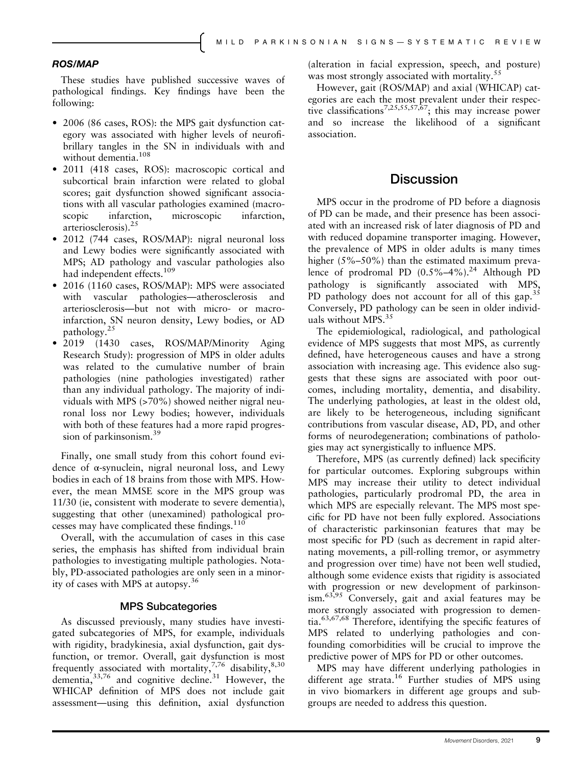#### ROS/MAP

These studies have published successive waves of pathological findings. Key findings have been the following:

- 2006 (86 cases, ROS): the MPS gait dysfunction category was associated with higher levels of neurofibrillary tangles in the SN in individuals with and without dementia.<sup>108</sup>
- 2011 (418 cases, ROS): macroscopic cortical and subcortical brain infarction were related to global scores; gait dysfunction showed significant associations with all vascular pathologies examined (macroscopic infarction, microscopic infarction, arteriosclerosis).<sup>25</sup>
- 2012 (744 cases, ROS/MAP): nigral neuronal loss and Lewy bodies were significantly associated with MPS; AD pathology and vascular pathologies also had independent effects.<sup>109</sup>
- 2016 (1160 cases, ROS/MAP): MPS were associated with vascular pathologies—atherosclerosis and arteriosclerosis—but not with micro- or macroinfarction, SN neuron density, Lewy bodies, or AD pathology.<sup>25</sup>
- 2019 (1430 cases, ROS/MAP/Minority Aging Research Study): progression of MPS in older adults was related to the cumulative number of brain pathologies (nine pathologies investigated) rather than any individual pathology. The majority of individuals with MPS (>70%) showed neither nigral neuronal loss nor Lewy bodies; however, individuals with both of these features had a more rapid progression of parkinsonism.<sup>39</sup>

Finally, one small study from this cohort found evidence of α-synuclein, nigral neuronal loss, and Lewy bodies in each of 18 brains from those with MPS. However, the mean MMSE score in the MPS group was 11/30 (ie, consistent with moderate to severe dementia), suggesting that other (unexamined) pathological processes may have complicated these findings.<sup>110</sup>

Overall, with the accumulation of cases in this case series, the emphasis has shifted from individual brain pathologies to investigating multiple pathologies. Notably, PD-associated pathologies are only seen in a minority of cases with MPS at autopsy.<sup>36</sup>

#### MPS Subcategories

As discussed previously, many studies have investigated subcategories of MPS, for example, individuals with rigidity, bradykinesia, axial dysfunction, gait dysfunction, or tremor. Overall, gait dysfunction is most frequently associated with mortality,<sup>7,76</sup> disability,<sup>8,30</sup> dementia,  $33,76$  and cognitive decline. $31$  However, the WHICAP definition of MPS does not include gait assessment—using this definition, axial dysfunction (alteration in facial expression, speech, and posture) was most strongly associated with mortality.<sup>55</sup>

However, gait (ROS/MAP) and axial (WHICAP) categories are each the most prevalent under their respective classifications7,25,55,57,67; this may increase power and so increase the likelihood of a significant association.

## **Discussion**

MPS occur in the prodrome of PD before a diagnosis of PD can be made, and their presence has been associated with an increased risk of later diagnosis of PD and with reduced dopamine transporter imaging. However, the prevalence of MPS in older adults is many times higher (5%–50%) than the estimated maximum prevalence of prodromal PD  $(0.5\% - 4\%)$ <sup>24</sup> Although PD pathology is significantly associated with MPS, PD pathology does not account for all of this gap.<sup>35</sup> Conversely, PD pathology can be seen in older individuals without MPS. $35$ 

The epidemiological, radiological, and pathological evidence of MPS suggests that most MPS, as currently defined, have heterogeneous causes and have a strong association with increasing age. This evidence also suggests that these signs are associated with poor outcomes, including mortality, dementia, and disability. The underlying pathologies, at least in the oldest old, are likely to be heterogeneous, including significant contributions from vascular disease, AD, PD, and other forms of neurodegeneration; combinations of pathologies may act synergistically to influence MPS.

Therefore, MPS (as currently defined) lack specificity for particular outcomes. Exploring subgroups within MPS may increase their utility to detect individual pathologies, particularly prodromal PD, the area in which MPS are especially relevant. The MPS most specific for PD have not been fully explored. Associations of characteristic parkinsonian features that may be most specific for PD (such as decrement in rapid alternating movements, a pill-rolling tremor, or asymmetry and progression over time) have not been well studied, although some evidence exists that rigidity is associated with progression or new development of parkinsonism.63,95 Conversely, gait and axial features may be more strongly associated with progression to dementia.63,67,68 Therefore, identifying the specific features of MPS related to underlying pathologies and confounding comorbidities will be crucial to improve the predictive power of MPS for PD or other outcomes.

MPS may have different underlying pathologies in different age strata.<sup>16</sup> Further studies of MPS using in vivo biomarkers in different age groups and subgroups are needed to address this question.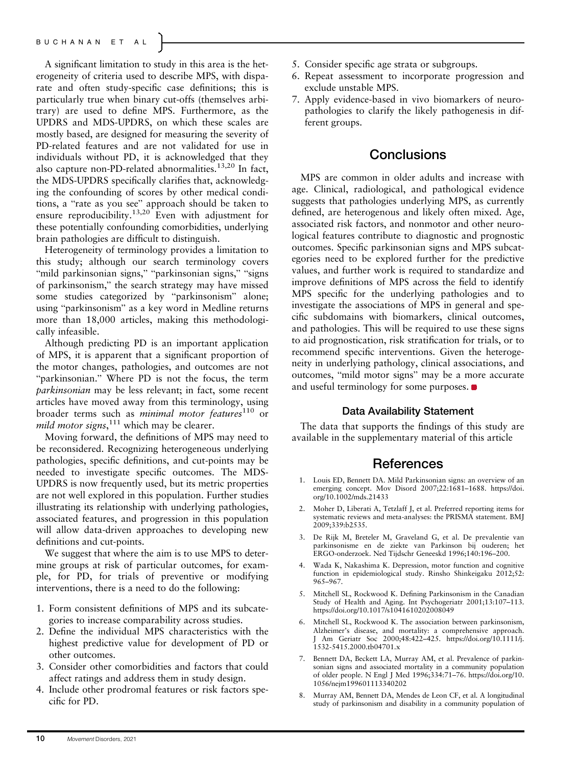A significant limitation to study in this area is the heterogeneity of criteria used to describe MPS, with disparate and often study-specific case definitions; this is particularly true when binary cut-offs (themselves arbitrary) are used to define MPS. Furthermore, as the UPDRS and MDS-UPDRS, on which these scales are mostly based, are designed for measuring the severity of PD-related features and are not validated for use in individuals without PD, it is acknowledged that they also capture non-PD-related abnormalities.13,20 In fact, the MDS-UPDRS specifically clarifies that, acknowledging the confounding of scores by other medical conditions, a "rate as you see" approach should be taken to ensure reproducibility.<sup>13,20</sup> Even with adjustment for these potentially confounding comorbidities, underlying brain pathologies are difficult to distinguish.

Heterogeneity of terminology provides a limitation to this study; although our search terminology covers "mild parkinsonian signs," "parkinsonian signs," "signs of parkinsonism," the search strategy may have missed some studies categorized by "parkinsonism" alone; using "parkinsonism" as a key word in Medline returns more than 18,000 articles, making this methodologically infeasible.

Although predicting PD is an important application of MPS, it is apparent that a significant proportion of the motor changes, pathologies, and outcomes are not "parkinsonian." Where PD is not the focus, the term parkinsonian may be less relevant; in fact, some recent articles have moved away from this terminology, using broader terms such as minimal motor features $110$  or mild motor signs,  $111$  which may be clearer.

Moving forward, the definitions of MPS may need to be reconsidered. Recognizing heterogeneous underlying pathologies, specific definitions, and cut-points may be needed to investigate specific outcomes. The MDS-UPDRS is now frequently used, but its metric properties are not well explored in this population. Further studies illustrating its relationship with underlying pathologies, associated features, and progression in this population will allow data-driven approaches to developing new definitions and cut-points.

We suggest that where the aim is to use MPS to determine groups at risk of particular outcomes, for example, for PD, for trials of preventive or modifying interventions, there is a need to do the following:

- 1. Form consistent definitions of MPS and its subcategories to increase comparability across studies.
- 2. Define the individual MPS characteristics with the highest predictive value for development of PD or other outcomes.
- 3. Consider other comorbidities and factors that could affect ratings and address them in study design.
- 4. Include other prodromal features or risk factors specific for PD.
- 5. Consider specific age strata or subgroups.
- 6. Repeat assessment to incorporate progression and exclude unstable MPS.
- 7. Apply evidence-based in vivo biomarkers of neuropathologies to clarify the likely pathogenesis in different groups.

# **Conclusions**

MPS are common in older adults and increase with age. Clinical, radiological, and pathological evidence suggests that pathologies underlying MPS, as currently defined, are heterogenous and likely often mixed. Age, associated risk factors, and nonmotor and other neurological features contribute to diagnostic and prognostic outcomes. Specific parkinsonian signs and MPS subcategories need to be explored further for the predictive values, and further work is required to standardize and improve definitions of MPS across the field to identify MPS specific for the underlying pathologies and to investigate the associations of MPS in general and specific subdomains with biomarkers, clinical outcomes, and pathologies. This will be required to use these signs to aid prognostication, risk stratification for trials, or to recommend specific interventions. Given the heterogeneity in underlying pathology, clinical associations, and outcomes, "mild motor signs" may be a more accurate and useful terminology for some purposes.

#### Data Availability Statement

The data that supports the findings of this study are available in the supplementary material of this article

#### References

- 1. Louis ED, Bennett DA. Mild Parkinsonian signs: an overview of an emerging concept. Mov Disord 2007;22:1681–1688. [https://doi.](https://doi.org/10.1002/mds.21433) [org/10.1002/mds.21433](https://doi.org/10.1002/mds.21433)
- 2. Moher D, Liberati A, Tetzlaff J, et al. Preferred reporting items for systematic reviews and meta-analyses: the PRISMA statement. BMJ 2009;339:b2535.
- 3. De Rijk M, Breteler M, Graveland G, et al. De prevalentie van parkinsonisme en de ziekte van Parkinson bij ouderen; het ERGO-onderzoek. Ned Tijdschr Geneeskd 1996;140:196–200.
- 4. Wada K, Nakashima K. Depression, motor function and cognitive function in epidemiological study. Rinsho Shinkeigaku 2012;52: 965–967.
- 5. Mitchell SL, Rockwood K. Defining Parkinsonism in the Canadian Study of Health and Aging. Int Psychogeriatr 2001;13:107–113. <https://doi.org/10.1017/s1041610202008049>
- Mitchell SL, Rockwood K. The association between parkinsonism, Alzheimer's disease, and mortality: a comprehensive approach. J Am Geriatr Soc 2000;48:422–425. [https://doi.org/10.1111/j.](https://doi.org/10.1111/j.1532-5415.2000.tb04701.x) [1532-5415.2000.tb04701.x](https://doi.org/10.1111/j.1532-5415.2000.tb04701.x)
- 7. Bennett DA, Beckett LA, Murray AM, et al. Prevalence of parkinsonian signs and associated mortality in a community population of older people. N Engl J Med 1996;334:71–76. [https://doi.org/10.](https://doi.org/10.1056/nejm199601113340202) [1056/nejm199601113340202](https://doi.org/10.1056/nejm199601113340202)
- 8. Murray AM, Bennett DA, Mendes de Leon CF, et al. A longitudinal study of parkinsonism and disability in a community population of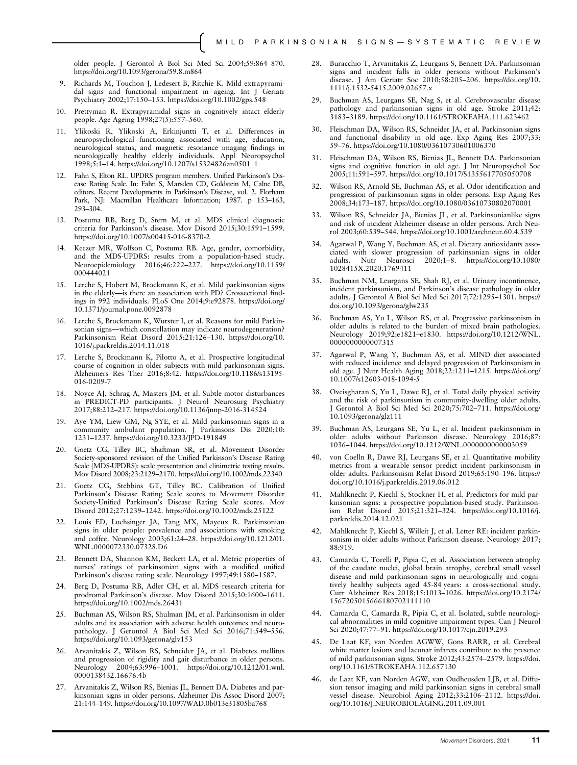older people. J Gerontol A Biol Sci Med Sci 2004;59:864–870. <https://doi.org/10.1093/gerona/59.8.m864>

- 9. Richards M, Touchon J, Ledesert B, Ritchie K. Mild extrapyramidal signs and functional impairment in ageing. Int J Geriatr Psychiatry 2002;17:150–153.<https://doi.org/10.1002/gps.548>
- 10. Prettyman R. Extrapyramidal signs in cognitively intact elderly people. Age Ageing 1998;27(5):557–560.
- 11. Ylikoski R, Ylikoski A, Erkinjuntti T, et al. Differences in neuropsychological functioning associated with age, education, neurological status, and magnetic resonance imaging findings in neurologically healthy elderly individuals. Appl Neuropsychol 1998;5:1–14. [https://doi.org/10.1207/s15324826an0501\\_1](https://doi.org/10.1207/s15324826an0501_1)
- 12. Fahn S, Elton RL. UPDRS program members. Unified Parkinson's Disease Rating Scale. In: Fahn S, Marsden CD, Goldstein M, Calne DB, editors. Recent Developments in Parkinson's Disease, vol. 2. Florham Park, NJ: Macmillan Healthcare Information; 1987. p 153–163, 293–304.
- 13. Postuma RB, Berg D, Stern M, et al. MDS clinical diagnostic criteria for Parkinson's disease. Mov Disord 2015;30:1591–1599. <https://doi.org/10.1007/s00415-016-8370-2>
- 14. Keezer MR, Wolfson C, Postuma RB. Age, gender, comorbidity, and the MDS-UPDRS: results from a population-based study. Neuroepidemiology 2016;46:222–227. [https://doi.org/10.1159/](https://doi.org/10.1159/000444021) [000444021](https://doi.org/10.1159/000444021)
- 15. Lerche S, Hobert M, Brockmann K, et al. Mild parkinsonian signs in the elderly—is there an association with PD? Crossectional findings in 992 individuals. PLoS One 2014;9:e92878. [https://doi.org/](https://doi.org/10.1371/journal.pone.0092878) [10.1371/journal.pone.0092878](https://doi.org/10.1371/journal.pone.0092878)
- 16. Lerche S, Brockmann K, Wurster I, et al. Reasons for mild Parkinsonian signs—which constellation may indicate neurodegeneration? Parkinsonism Relat Disord 2015;21:126–130. [https://doi.org/10.](https://doi.org/10.1016/j.parkreldis.2014.11.018) [1016/j.parkreldis.2014.11.018](https://doi.org/10.1016/j.parkreldis.2014.11.018)
- 17. Lerche S, Brockmann K, Pilotto A, et al. Prospective longitudinal course of cognition in older subjects with mild parkinsonian signs. Alzheimers Res Ther 2016;8:42. [https://doi.org/10.1186/s13195-](https://doi.org/10.1186/s13195-016-0209-7) [016-0209-7](https://doi.org/10.1186/s13195-016-0209-7)
- 18. Noyce AJ, Schrag A, Masters JM, et al. Subtle motor disturbances in PREDICT-PD participants. J Neurol Neurosurg Psychiatry 2017;88:212–217.<https://doi.org/10.1136/jnnp-2016-314524>
- 19. Aye YM, Liew GM, Ng SYE, et al. Mild parkinsonian signs in a community ambulant population. J Parkinsons Dis 2020;10: 1231–1237.<https://doi.org/10.3233/JPD-191849>
- 20. Goetz CG, Tilley BC, Shaftman SR, et al. Movement Disorder Society-sponsored revision of the Unified Parkinson's Disease Rating Scale (MDS-UPDRS): scale presentation and clinimetric testing results. Mov Disord 2008;23:2129–2170.<https://doi.org/10.1002/mds.22340>
- 21. Goetz CG, Stebbins GT, Tilley BC. Calibration of Unified Parkinson's Disease Rating Scale scores to Movement Disorder Society-Unified Parkinson's Disease Rating Scale scores. Mov Disord 2012;27:1239–1242.<https://doi.org/10.1002/mds.25122>
- 22. Louis ED, Luchsinger JA, Tang MX, Mayeux R. Parkinsonian signs in older people: prevalence and associations with smoking and coffee. Neurology 2003;61:24–28. [https://doi.org/10.1212/01.](https://doi.org/10.1212/01.WNL.0000072330.07328.D6) [WNL.0000072330.07328.D6](https://doi.org/10.1212/01.WNL.0000072330.07328.D6)
- 23. Bennett DA, Shannon KM, Beckett LA, et al. Metric properties of nurses' ratings of parkinsonian signs with a modified unified Parkinson's disease rating scale. Neurology 1997;49:1580–1587.
- 24. Berg D, Postuma RB, Adler CH, et al. MDS research criteria for prodromal Parkinson's disease. Mov Disord 2015;30:1600–1611. <https://doi.org/10.1002/mds.26431>
- 25. Buchman AS, Wilson RS, Shulman JM, et al. Parkinsonism in older adults and its association with adverse health outcomes and neuropathology. J Gerontol A Biol Sci Med Sci 2016;71:549–556. <https://doi.org/10.1093/gerona/glv153>
- 26. Arvanitakis Z, Wilson RS, Schneider JA, et al. Diabetes mellitus and progression of rigidity and gait disturbance in older persons. Neurology 2004;63:996–1001. [https://doi.org/10.1212/01.wnl.](https://doi.org/10.1212/01.wnl.0000138432.16676.4b) [0000138432.16676.4b](https://doi.org/10.1212/01.wnl.0000138432.16676.4b)
- 27. Arvanitakis Z, Wilson RS, Bienias JL, Bennett DA. Diabetes and parkinsonian signs in older persons. Alzheimer Dis Assoc Disord 2007; 21:144–149.<https://doi.org/10.1097/WAD.0b013e31805ba768>
- 28. Buracchio T, Arvanitakis Z, Leurgans S, Bennett DA. Parkinsonian signs and incident falls in older persons without Parkinson's disease. J Am Geriatr Soc 2010;58:205–206. [https://doi.org/10.](https://doi.org/10.1111/j.1532-5415.2009.02657.x) [1111/j.1532-5415.2009.02657.x](https://doi.org/10.1111/j.1532-5415.2009.02657.x)
- 29. Buchman AS, Leurgans SE, Nag S, et al. Cerebrovascular disease pathology and parkinsonian signs in old age. Stroke 2011;42: 3183–3189.<https://doi.org/10.1161/STROKEAHA.111.623462>
- Fleischman DA, Wilson RS, Schneider JA, et al. Parkinsonian signs and functional disability in old age. Exp Aging Res 2007;33: 59–76.<https://doi.org/10.1080/03610730601006370>
- 31. Fleischman DA, Wilson RS, Bienias JL, Bennett DA. Parkinsonian signs and cognitive function in old age. I Int Neuropsychol Soc 2005;11:591–597.<https://doi.org/10.1017/S1355617705050708>
- 32. Wilson RS, Arnold SE, Buchman AS, et al. Odor identification and progression of parkinsonian signs in older persons. Exp Aging Res 2008;34:173–187.<https://doi.org/10.1080/03610730802070001>
- 33. Wilson RS, Schneider JA, Bienias JL, et al. Parkinsonianlike signs and risk of incident Alzheimer disease in older persons. Arch Neurol 2003;60:539–544.<https://doi.org/10.1001/archneur.60.4.539>
- 34. Agarwal P, Wang Y, Buchman AS, et al. Dietary antioxidants associated with slower progression of parkinsonian signs in older adults. Nutr Neurosci 2020;1–8. [https://doi.org/10.1080/](https://doi.org/10.1080/1028415X.2020.1769411) [1028415X.2020.1769411](https://doi.org/10.1080/1028415X.2020.1769411)
- 35. Buchman NM, Leurgans SE, Shah RJ, et al. Urinary incontinence, incident parkinsonism, and Parkinson's disease pathology in older adults. J Gerontol A Biol Sci Med Sci 2017;72:1295–1301. [https://](https://doi.org/10.1093/gerona/glw235) [doi.org/10.1093/gerona/glw235](https://doi.org/10.1093/gerona/glw235)
- Buchman AS, Yu L, Wilson RS, et al. Progressive parkinsonism in older adults is related to the burden of mixed brain pathologies. Neurology 2019;92:e1821–e1830. [https://doi.org/10.1212/WNL.](https://doi.org/10.1212/WNL.0000000000007315) [0000000000007315](https://doi.org/10.1212/WNL.0000000000007315)
- 37. Agarwal P, Wang Y, Buchman AS, et al. MIND diet associated with reduced incidence and delayed progression of Parkinsonism in old age. J Nutr Health Aging 2018;22:1211–1215. [https://doi.org/](https://doi.org/10.1007/s12603-018-1094-5) [10.1007/s12603-018-1094-5](https://doi.org/10.1007/s12603-018-1094-5)
- 38. Oveisgharan S, Yu L, Dawe RJ, et al. Total daily physical activity and the risk of parkinsonism in community-dwelling older adults. J Gerontol A Biol Sci Med Sci 2020;75:702–711. [https://doi.org/](https://doi.org/10.1093/gerona/glz111) [10.1093/gerona/glz111](https://doi.org/10.1093/gerona/glz111)
- 39. Buchman AS, Leurgans SE, Yu L, et al. Incident parkinsonism in older adults without Parkinson disease. Neurology 2016;87: 1036–1044.<https://doi.org/10.1212/WNL.0000000000003059>
- 40. von Coelln R, Dawe RJ, Leurgans SE, et al. Quantitative mobility metrics from a wearable sensor predict incident parkinsonism in older adults. Parkinsonism Relat Disord 2019;65:190–196. [https://](https://doi.org/10.1016/j.parkreldis.2019.06.012) [doi.org/10.1016/j.parkreldis.2019.06.012](https://doi.org/10.1016/j.parkreldis.2019.06.012)
- 41. Mahlknecht P, Kiechl S, Stockner H, et al. Predictors for mild parkinsonian signs: a prospective population-based study. Parkinsonism Relat Disord 2015;21:321–324. [https://doi.org/10.1016/j.](https://doi.org/10.1016/j.parkreldis.2014.12.021) [parkreldis.2014.12.021](https://doi.org/10.1016/j.parkreldis.2014.12.021)
- 42. Mahlknecht P, Kiechl S, Willeit J, et al. Letter RE: incident parkinsonism in older adults without Parkinson disease. Neurology 2017; 88:919.
- 43. Camarda C, Torelli P, Pipia C, et al. Association between atrophy of the caudate nuclei, global brain atrophy, cerebral small vessel disease and mild parkinsonian signs in neurologically and cognitively healthy subjects aged 45-84 years: a cross-sectional study. Curr Alzheimer Res 2018;15:1013–1026. [https://doi.org/10.2174/](https://doi.org/10.2174/1567205015666180702111110) [1567205015666180702111110](https://doi.org/10.2174/1567205015666180702111110)
- 44. Camarda C, Camarda R, Pipia C, et al. Isolated, subtle neurological abnormalities in mild cognitive impairment types. Can J Neurol Sci 2020;47:77–91.<https://doi.org/10.1017/cjn.2019.293>
- 45. De Laat KF, van Norden AGWW, Gons RARR, et al. Cerebral white matter lesions and lacunar infarcts contribute to the presence of mild parkinsonian signs. Stroke 2012;43:2574–2579. [https://doi.](https://doi.org/10.1161/STROKEAHA.112.657130) [org/10.1161/STROKEAHA.112.657130](https://doi.org/10.1161/STROKEAHA.112.657130)
- 46. de Laat KF, van Norden AGW, van Oudheusden LJB, et al. Diffusion tensor imaging and mild parkinsonian signs in cerebral small vessel disease. Neurobiol Aging 2012;33:2106–2112. [https://doi.](https://doi.org/10.1016/J.NEUROBIOLAGING.2011.09.001) [org/10.1016/J.NEUROBIOLAGING.2011.09.001](https://doi.org/10.1016/J.NEUROBIOLAGING.2011.09.001)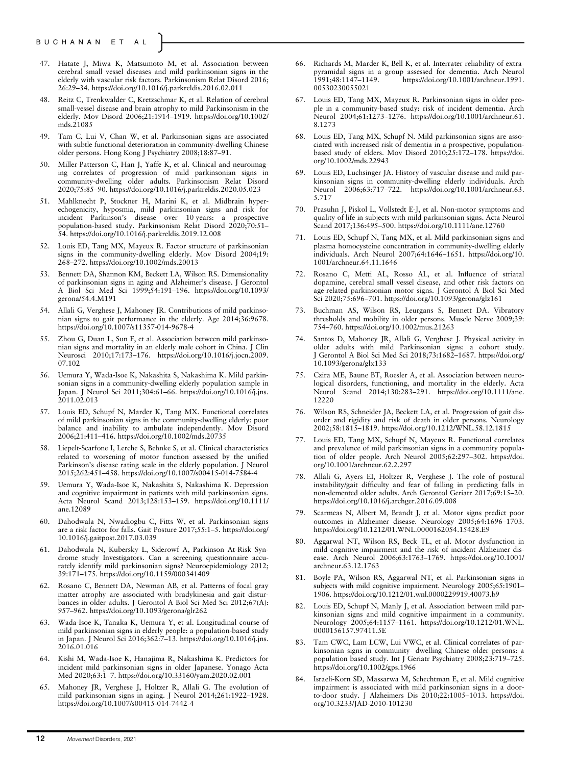- 47. Hatate J, Miwa K, Matsumoto M, et al. Association between cerebral small vessel diseases and mild parkinsonian signs in the elderly with vascular risk factors. Parkinsonism Relat Disord 2016; 26:29–34.<https://doi.org/10.1016/j.parkreldis.2016.02.011>
- 48. Reitz C, Trenkwalder C, Kretzschmar K, et al. Relation of cerebral small-vessel disease and brain atrophy to mild Parkinsonism in the elderly. Mov Disord 2006;21:1914–1919. [https://doi.org/10.1002/](https://doi.org/10.1002/mds.21085) [mds.21085](https://doi.org/10.1002/mds.21085)
- 49. Tam C, Lui V, Chan W, et al. Parkinsonian signs are associated with subtle functional deterioration in community-dwelling Chinese older persons. Hong Kong J Psychiatry 2008;18:87–91.
- 50. Miller-Patterson C, Han J, Yaffe K, et al. Clinical and neuroimaging correlates of progression of mild parkinsonian signs in community-dwelling older adults. Parkinsonism Relat Disord 2020;75:85–90.<https://doi.org/10.1016/j.parkreldis.2020.05.023>
- 51. Mahlknecht P, Stockner H, Marini K, et al. Midbrain hyperechogenicity, hyposmia, mild parkinsonian signs and risk for incident Parkinson's disease over 10 years: a prospective incident Parkinson's disease over 10 years: a population-based study. Parkinsonism Relat Disord 2020;70:51-54.<https://doi.org/10.1016/j.parkreldis.2019.12.008>
- 52. Louis ED, Tang MX, Mayeux R. Factor structure of parkinsonian signs in the community-dwelling elderly. Mov Disord 2004;19: 268–272.<https://doi.org/10.1002/mds.20013>
- 53. Bennett DA, Shannon KM, Beckett LA, Wilson RS. Dimensionality of parkinsonian signs in aging and Alzheimer's disease. J Gerontol A Biol Sci Med Sci 1999;54:191–196. [https://doi.org/10.1093/](https://doi.org/10.1093/gerona/54.4.M191) [gerona/54.4.M191](https://doi.org/10.1093/gerona/54.4.M191)
- 54. Allali G, Verghese J, Mahoney JR. Contributions of mild parkinsonian signs to gait performance in the elderly. Age 2014;36:9678. <https://doi.org/10.1007/s11357-014-9678-4>
- 55. Zhou G, Duan L, Sun F, et al. Association between mild parkinsonian signs and mortality in an elderly male cohort in China. J Clin Neurosci 2010;17:173-176. [https://doi.org/10.1016/j.jocn.2009.](https://doi.org/10.1016/j.jocn.2009.07.102) [07.102](https://doi.org/10.1016/j.jocn.2009.07.102)
- 56. Uemura Y, Wada-Isoe K, Nakashita S, Nakashima K. Mild parkinsonian signs in a community-dwelling elderly population sample in Japan. J Neurol Sci 2011;304:61–66. [https://doi.org/10.1016/j.jns.](https://doi.org/10.1016/j.jns.2011.02.013) [2011.02.013](https://doi.org/10.1016/j.jns.2011.02.013)
- 57. Louis ED, Schupf N, Marder K, Tang MX. Functional correlates of mild parkinsonian signs in the community-dwelling elderly: poor balance and inability to ambulate independently. Mov Disord 2006;21:411–416.<https://doi.org/10.1002/mds.20735>
- 58. Liepelt-Scarfone I, Lerche S, Behnke S, et al. Clinical characteristics related to worsening of motor function assessed by the unified Parkinson's disease rating scale in the elderly population. J Neurol 2015;262:451–458.<https://doi.org/10.1007/s00415-014-7584-4>
- 59. Uemura Y, Wada-Isoe K, Nakashita S, Nakashima K. Depression and cognitive impairment in patients with mild parkinsonian signs. Acta Neurol Scand 2013;128:153–159. [https://doi.org/10.1111/](https://doi.org/10.1111/ane.12089) [ane.12089](https://doi.org/10.1111/ane.12089)
- 60. Dahodwala N, Nwadiogbu C, Fitts W, et al. Parkinsonian signs are a risk factor for falls. Gait Posture 2017;55:1–5. [https://doi.org/](https://doi.org/10.1016/j.gaitpost.2017.03.039) [10.1016/j.gaitpost.2017.03.039](https://doi.org/10.1016/j.gaitpost.2017.03.039)
- 61. Dahodwala N, Kubersky L, Siderowf A, Parkinson At-Risk Syndrome study Investigators. Can a screening questionnaire accurately identify mild parkinsonian signs? Neuroepidemiology 2012; 39:171–175.<https://doi.org/10.1159/000341409>
- 62. Rosano C, Bennett DA, Newman AB, et al. Patterns of focal gray matter atrophy are associated with bradykinesia and gait disturbances in older adults. J Gerontol A Biol Sci Med Sci 2012;67(A): 957–962.<https://doi.org/10.1093/gerona/glr262>
- 63. Wada-Isoe K, Tanaka K, Uemura Y, et al. Longitudinal course of mild parkinsonian signs in elderly people: a population-based study in Japan. J Neurol Sci 2016;362:7–13. [https://doi.org/10.1016/j.jns.](https://doi.org/10.1016/j.jns.2016.01.016) [2016.01.016](https://doi.org/10.1016/j.jns.2016.01.016)
- 64. Kishi M, Wada-Isoe K, Hanajima R, Nakashima K. Predictors for incident mild parkinsonian signs in older Japanese. Yonago Acta Med 2020;63:1–7.<https://doi.org/10.33160/yam.2020.02.001>
- 65. Mahoney JR, Verghese J, Holtzer R, Allali G. The evolution of mild parkinsonian signs in aging. J Neurol 2014;261:1922–1928. <https://doi.org/10.1007/s00415-014-7442-4>
- 66. Richards M, Marder K, Bell K, et al. Interrater reliability of extrapyramidal signs in a group assessed for dementia. Arch Neurol https://doi.org/10.1001/archneur.1991. [00530230055021](https://doi.org/10.1001/archneur.1991.00530230055021)
- 67. Louis ED, Tang MX, Mayeux R. Parkinsonian signs in older people in a community-based study: risk of incident dementia. Arch Neurol 2004;61:1273–1276. [https://doi.org/10.1001/archneur.61.](https://doi.org/10.1001/archneur.61.8.1273) [8.1273](https://doi.org/10.1001/archneur.61.8.1273)
- 68. Louis ED, Tang MX, Schupf N. Mild parkinsonian signs are associated with increased risk of dementia in a prospective, populationbased study of elders. Mov Disord 2010;25:172–178. [https://doi.](https://doi.org/10.1002/mds.22943) [org/10.1002/mds.22943](https://doi.org/10.1002/mds.22943)
- Louis ED, Luchsinger JA. History of vascular disease and mild parkinsonian signs in community-dwelling elderly individuals. Arch Neurol 2006;63:717–722. [https://doi.org/10.1001/archneur.63.](https://doi.org/10.1001/archneur.63.5.717) [5.717](https://doi.org/10.1001/archneur.63.5.717)
- 70. Prasuhn J, Piskol L, Vollstedt E-J, et al. Non-motor symptoms and quality of life in subjects with mild parkinsonian signs. Acta Neurol Scand 2017;136:495–500.<https://doi.org/10.1111/ane.12760>
- 71. Louis ED, Schupf N, Tang MX, et al. Mild parkinsonian signs and plasma homocysteine concentration in community-dwelling elderly individuals. Arch Neurol 2007;64:1646–1651. [https://doi.org/10.](https://doi.org/10.1001/archneur.64.11.1646) [1001/archneur.64.11.1646](https://doi.org/10.1001/archneur.64.11.1646)
- 72. Rosano C, Metti AL, Rosso AL, et al. Influence of striatal dopamine, cerebral small vessel disease, and other risk factors on age-related parkinsonian motor signs. J Gerontol A Biol Sci Med Sci 2020;75:696–701.<https://doi.org/10.1093/gerona/glz161>
- Buchman AS, Wilson RS, Leurgans S, Bennett DA. Vibratory thresholds and mobility in older persons. Muscle Nerve 2009;39: 754–760.<https://doi.org/10.1002/mus.21263>
- 74. Santos D, Mahoney JR, Allali G, Verghese J. Physical activity in older adults with mild Parkinsonian signs: a cohort study. J Gerontol A Biol Sci Med Sci 2018;73:1682–1687. [https://doi.org/](https://doi.org/10.1093/gerona/glx133) [10.1093/gerona/glx133](https://doi.org/10.1093/gerona/glx133)
- 75. Czira ME, Baune BT, Roesler A, et al. Association between neurological disorders, functioning, and mortality in the elderly. Acta Neurol Scand 2014;130:283–291. [https://doi.org/10.1111/ane.](https://doi.org/10.1111/ane.12220) [12220](https://doi.org/10.1111/ane.12220)
- 76. Wilson RS, Schneider JA, Beckett LA, et al. Progression of gait disorder and rigidity and risk of death in older persons. Neurology 2002;58:1815–1819.<https://doi.org/10.1212/WNL.58.12.1815>
- 77. Louis ED, Tang MX, Schupf N, Mayeux R. Functional correlates and prevalence of mild parkinsonian signs in a community population of older people. Arch Neurol 2005;62:297-302. [https://doi.](https://doi.org/10.1001/archneur.62.2.297) [org/10.1001/archneur.62.2.297](https://doi.org/10.1001/archneur.62.2.297)
- 78. Allali G, Ayers EI, Holtzer R, Verghese J. The role of postural instability/gait difficulty and fear of falling in predicting falls in non-demented older adults. Arch Gerontol Geriatr 2017;69:15–20. <https://doi.org/10.1016/j.archger.2016.09.008>
- 79. Scarmeas N, Albert M, Brandt J, et al. Motor signs predict poor outcomes in Alzheimer disease. Neurology 2005;64:1696–1703. <https://doi.org/10.1212/01.WNL.0000162054.15428.E9>
- 80. Aggarwal NT, Wilson RS, Beck TL, et al. Motor dysfunction in mild cognitive impairment and the risk of incident Alzheimer disease. Arch Neurol 2006;63:1763–1769. [https://doi.org/10.1001/](https://doi.org/10.1001/archneur.63.12.1763) [archneur.63.12.1763](https://doi.org/10.1001/archneur.63.12.1763)
- 81. Boyle PA, Wilson RS, Aggarwal NT, et al. Parkinsonian signs in subjects with mild cognitive impairment. Neurology 2005;65:1901– 1906.<https://doi.org/10.1212/01.wnl.0000229919.40073.b9>
- 82. Louis ED, Schupf N, Manly J, et al. Association between mild parkinsonian signs and mild cognitive impairment in a community. Neurology 2005;64:1157–1161. [https://doi.org/10.1212/01.WNL.](https://doi.org/10.1212/01.WNL.0000156157.97411.5E) [0000156157.97411.5E](https://doi.org/10.1212/01.WNL.0000156157.97411.5E)
- Tam CWC, Lam LCW, Lui VWC, et al. Clinical correlates of parkinsonian signs in community- dwelling Chinese older persons: a population based study. Int J Geriatr Psychiatry 2008;23:719–725. <https://doi.org/10.1002/gps.1966>
- 84. Israeli-Korn SD, Massarwa M, Schechtman E, et al. Mild cognitive impairment is associated with mild parkinsonian signs in a doorto-door study. J Alzheimers Dis 2010;22:1005–1013. [https://doi.](https://doi.org/10.3233/JAD-2010-101230) [org/10.3233/JAD-2010-101230](https://doi.org/10.3233/JAD-2010-101230)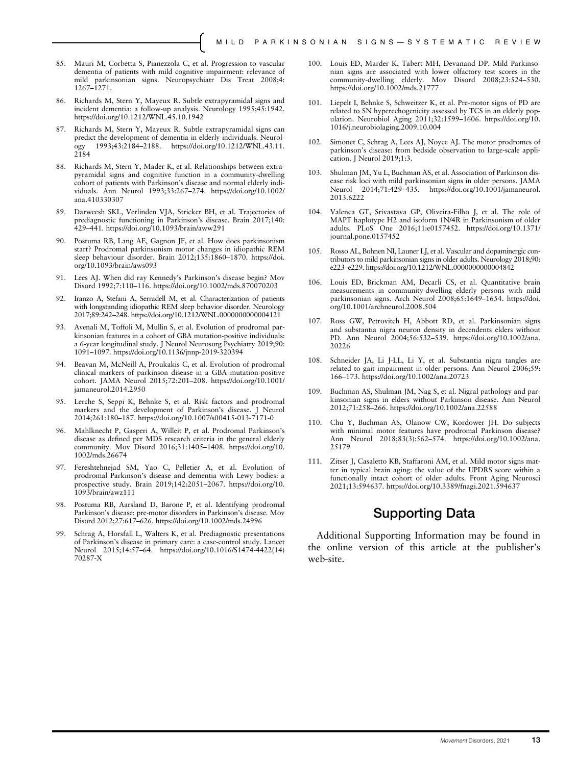- 85. Mauri M, Corbetta S, Pianezzola C, et al. Progression to vascular dementia of patients with mild cognitive impairment: relevance of mild parkinsonian signs. Neuropsychiatr Dis Treat 2008;4: 1267–1271.
- 86. Richards M, Stern Y, Mayeux R. Subtle extrapyramidal signs and incident dementia: a follow-up analysis. Neurology 1995;45:1942. <https://doi.org/10.1212/WNL.45.10.1942>
- 87. Richards M, Stern Y, Mayeux R. Subtle extrapyramidal signs can predict the development of dementia in elderly individuals. Neurology 1993;43:2184–2188. [https://doi.org/10.1212/WNL.43.11.](https://doi.org/10.1212/WNL.43.11.2184) [2184](https://doi.org/10.1212/WNL.43.11.2184)
- 88. Richards M, Stern Y, Mader K, et al. Relationships between extrapyramidal signs and cognitive function in a community-dwelling cohort of patients with Parkinson's disease and normal elderly individuals. Ann Neurol 1993;33:267–274. [https://doi.org/10.1002/](https://doi.org/10.1002/ana.410330307) [ana.410330307](https://doi.org/10.1002/ana.410330307)
- 89. Darweesh SKL, Verlinden VJA, Stricker BH, et al. Trajectories of prediagnostic functioning in Parkinson's disease. Brain 2017;140: 429–441.<https://doi.org/10.1093/brain/aww291>
- 90. Postuma RB, Lang AE, Gagnon JF, et al. How does parkinsonism start? Prodromal parkinsonism motor changes in idiopathic REM sleep behaviour disorder. Brain 2012;135:1860–1870. [https://doi.](https://doi.org/10.1093/brain/aws093) [org/10.1093/brain/aws093](https://doi.org/10.1093/brain/aws093)
- 91. Lees AJ. When did ray Kennedy's Parkinson's disease begin? Mov Disord 1992;7:110–116.<https://doi.org/10.1002/mds.870070203>
- 92. Iranzo A, Stefani A, Serradell M, et al. Characterization of patients with longstanding idiopathic REM sleep behavior disorder. Neurology 2017;89:242–248.<https://doi.org/10.1212/WNL.0000000000004121>
- 93. Avenali M, Toffoli M, Mullin S, et al. Evolution of prodromal parkinsonian features in a cohort of GBA mutation-positive individuals: a 6-year longitudinal study. J Neurol Neurosurg Psychiatry 2019;90: 1091–1097.<https://doi.org/10.1136/jnnp-2019-320394>
- Beavan M, McNeill A, Proukakis C, et al. Evolution of prodromal clinical markers of parkinson disease in a GBA mutation-positive cohort. JAMA Neurol 2015;72:201–208. [https://doi.org/10.1001/](https://doi.org/10.1001/jamaneurol.2014.2950) [jamaneurol.2014.2950](https://doi.org/10.1001/jamaneurol.2014.2950)
- 95. Lerche S, Seppi K, Behnke S, et al. Risk factors and prodromal markers and the development of Parkinson's disease. J Neurol 2014;261:180–187.<https://doi.org/10.1007/s00415-013-7171-0>
- 96. Mahlknecht P, Gasperi A, Willeit P, et al. Prodromal Parkinson's disease as defined per MDS research criteria in the general elderly community. Mov Disord 2016;31:1405–1408. [https://doi.org/10.](https://doi.org/10.1002/mds.26674) [1002/mds.26674](https://doi.org/10.1002/mds.26674)
- 97. Fereshtehnejad SM, Yao C, Pelletier A, et al. Evolution of prodromal Parkinson's disease and dementia with Lewy bodies: a prospective study. Brain 2019;142:2051–2067. [https://doi.org/10.](https://doi.org/10.1093/brain/awz111) [1093/brain/awz111](https://doi.org/10.1093/brain/awz111)
- 98. Postuma RB, Aarsland D, Barone P, et al. Identifying prodromal Parkinson's disease: pre-motor disorders in Parkinson's disease. Mov Disord 2012;27:617–626.<https://doi.org/10.1002/mds.24996>
- 99. Schrag A, Horsfall L, Walters K, et al. Prediagnostic presentations of Parkinson's disease in primary care: a case-control study. Lancet Neurol 2015;14:57–64. [https://doi.org/10.1016/S1474-4422\(14\)](https://doi.org/10.1016/S1474-4422(14)70287-X) [70287-X](https://doi.org/10.1016/S1474-4422(14)70287-X)
- 100. Louis ED, Marder K, Tabert MH, Devanand DP. Mild Parkinsonian signs are associated with lower olfactory test scores in the community-dwelling elderly. Mov Disord 2008;23:524-530. <https://doi.org/10.1002/mds.21777>
- 101. Liepelt I, Behnke S, Schweitzer K, et al. Pre-motor signs of PD are related to SN hyperechogenicity assessed by TCS in an elderly population. Neurobiol Aging 2011;32:1599–1606. [https://doi.org/10.](https://doi.org/10.1016/j.neurobiolaging.2009.10.004) [1016/j.neurobiolaging.2009.10.004](https://doi.org/10.1016/j.neurobiolaging.2009.10.004)
- 102. Simonet C, Schrag A, Lees AJ, Noyce AJ. The motor prodromes of parkinson's disease: from bedside observation to large-scale application. J Neurol 2019;1:3.
- 103. Shulman JM, Yu L, Buchman AS, et al. Association of Parkinson disease risk loci with mild parkinsonian signs in older persons. JAMA Neurol 2014;71:429–435. [https://doi.org/10.1001/jamaneurol.](https://doi.org/10.1001/jamaneurol.2013.6222) [2013.6222](https://doi.org/10.1001/jamaneurol.2013.6222)
- 104. Valenca GT, Srivastava GP, Oliveira-Filho J, et al. The role of MAPT haplotype H2 and isoform 1N/4R in Parkinsonism of older adults. PLoS One 2016;11:e0157452. [https://doi.org/10.1371/](https://doi.org/10.1371/journal.pone.0157452) [journal.pone.0157452](https://doi.org/10.1371/journal.pone.0157452)
- 105. Rosso AL, Bohnen NI, Launer LJ, et al. Vascular and dopaminergic contributors to mild parkinsonian signs in older adults. Neurology 2018;90: e223–e229.<https://doi.org/10.1212/WNL.0000000000004842>
- 106. Louis ED, Brickman AM, Decarli CS, et al. Quantitative brain measurements in community-dwelling elderly persons with mild parkinsonian signs. Arch Neurol 2008;65:1649–1654. [https://doi.](https://doi.org/10.1001/archneurol.2008.504) [org/10.1001/archneurol.2008.504](https://doi.org/10.1001/archneurol.2008.504)
- 107. Ross GW, Petrovitch H, Abbott RD, et al. Parkinsonian signs and substantia nigra neuron density in decendents elders without PD. Ann Neurol 2004;56:532–539. [https://doi.org/10.1002/ana.](https://doi.org/10.1002/ana.20226) [20226](https://doi.org/10.1002/ana.20226)
- 108. Schneider JA, Li J-LL, Li Y, et al. Substantia nigra tangles are related to gait impairment in older persons. Ann Neurol 2006;59: 166–173.<https://doi.org/10.1002/ana.20723>
- 109. Buchman AS, Shulman JM, Nag S, et al. Nigral pathology and parkinsonian signs in elders without Parkinson disease. Ann Neurol 2012;71:258–266.<https://doi.org/10.1002/ana.22588>
- 110. Chu Y, Buchman AS, Olanow CW, Kordower JH. Do subjects with minimal motor features have prodromal Parkinson disease? Ann Neurol 2018;83(3):562–574. [https://doi.org/10.1002/ana.](https://doi.org/10.1002/ana.25179) [25179](https://doi.org/10.1002/ana.25179)
- 111. Zitser J, Casaletto KB, Staffaroni AM, et al. Mild motor signs matter in typical brain aging: the value of the UPDRS score within a functionally intact cohort of older adults. Front Aging Neurosci 2021;13:594637.<https://doi.org/10.3389/fnagi.2021.594637>

# Supporting Data

Additional Supporting Information may be found in the online version of this article at the publisher's web-site.